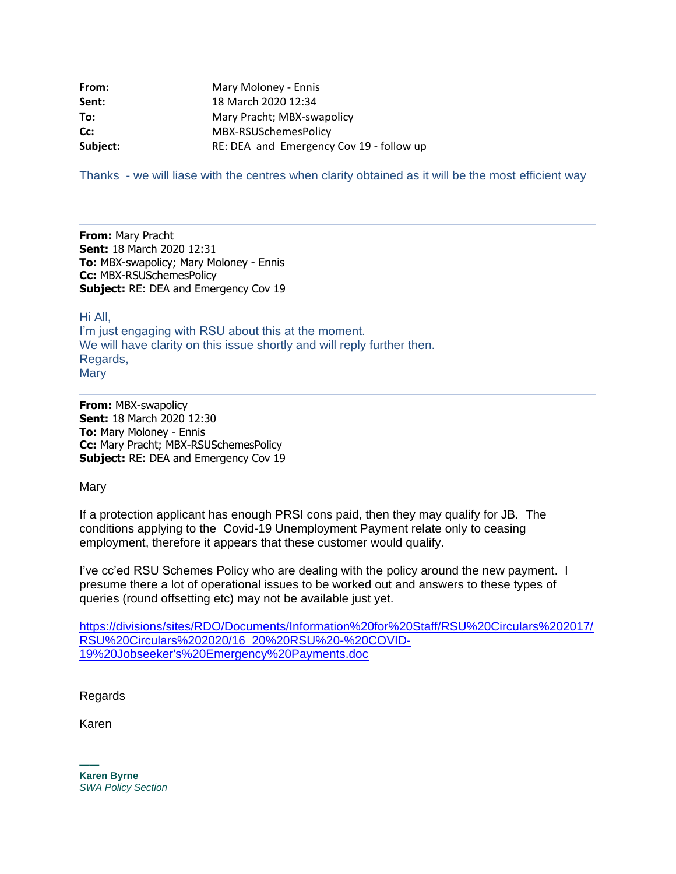| From:    | Mary Moloney - Ennis                     |
|----------|------------------------------------------|
| Sent:    | 18 March 2020 12:34                      |
| To:      | Mary Pracht; MBX-swapolicy               |
| Cc:      | MBX-RSUSchemesPolicy                     |
| Subject: | RE: DEA and Emergency Cov 19 - follow up |

Thanks - we will liase with the centres when clarity obtained as it will be the most efficient way

**From:** Mary Pracht **Sent:** 18 March 2020 12:31 **To:** MBX-swapolicy; Mary Moloney - Ennis **Cc:** MBX-RSUSchemesPolicy **Subject:** RE: DEA and Emergency Cov 19

Hi All, I'm just engaging with RSU about this at the moment. We will have clarity on this issue shortly and will reply further then. Regards, **Mary** 

**From:** MBX-swapolicy **Sent:** 18 March 2020 12:30 **To:** Mary Moloney - Ennis **Cc:** Mary Pracht; MBX-RSUSchemesPolicy **Subject:** RE: DEA and Emergency Cov 19

Mary

If a protection applicant has enough PRSI cons paid, then they may qualify for JB. The conditions applying to the Covid-19 Unemployment Payment relate only to ceasing employment, therefore it appears that these customer would qualify.

I've cc'ed RSU Schemes Policy who are dealing with the policy around the new payment. I presume there a lot of operational issues to be worked out and answers to these types of queries (round offsetting etc) may not be available just yet.

[https://divisions/sites/RDO/Documents/Information%20for%20Staff/RSU%20Circulars%202017/](https://divisions/sites/RDO/Documents/Information%20for%20Staff/RSU%20Circulars%202017/RSU%20Circulars%202020/16_20%20RSU%20-%20COVID-19%20Jobseeker) [RSU%20Circulars%202020/16\\_20%20RSU%20-%20COVID-](https://divisions/sites/RDO/Documents/Information%20for%20Staff/RSU%20Circulars%202017/RSU%20Circulars%202020/16_20%20RSU%20-%20COVID-19%20Jobseeker)[19%20Jobseeker's%20Emergency%20Payments.doc](https://divisions/sites/RDO/Documents/Information%20for%20Staff/RSU%20Circulars%202017/RSU%20Circulars%202020/16_20%20RSU%20-%20COVID-19%20Jobseeker)

Regards

Karen

**—— Karen Byrne** *SWA Policy Section*